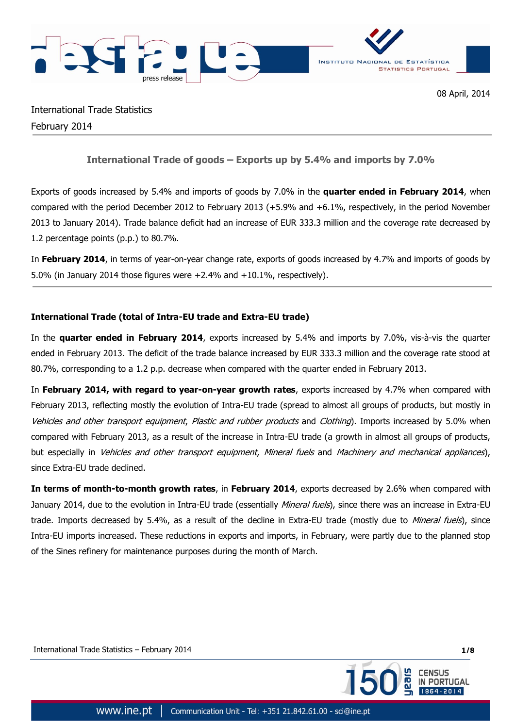



International Trade Statistics February 2014

# **International Trade of goods – Exports up by 5.4% and imports by 7.0%**

Exports of goods increased by 5.4% and imports of goods by 7.0% in the **quarter ended in February 2014**, when compared with the period December 2012 to February 2013 (+5.9% and +6.1%, respectively, in the period November 2013 to January 2014). Trade balance deficit had an increase of EUR 333.3 million and the coverage rate decreased by 1.2 percentage points (p.p.) to 80.7%.

In **February 2014**, in terms of year-on-year change rate, exports of goods increased by 4.7% and imports of goods by 5.0% (in January 2014 those figures were +2.4% and +10.1%, respectively).

## **International Trade (total of Intra-EU trade and Extra-EU trade)**

In the **quarter ended in February 2014**, exports increased by 5.4% and imports by 7.0%, vis-à-vis the quarter ended in February 2013. The deficit of the trade balance increased by EUR 333.3 million and the coverage rate stood at 80.7%, corresponding to a 1.2 p.p. decrease when compared with the quarter ended in February 2013.

In **February 2014, with regard to year-on-year growth rates**, exports increased by 4.7% when compared with February 2013, reflecting mostly the evolution of Intra-EU trade (spread to almost all groups of products, but mostly in Vehicles and other transport equipment, Plastic and rubber products and Clothing). Imports increased by 5.0% when compared with February 2013, as a result of the increase in Intra-EU trade (a growth in almost all groups of products, but especially in Vehicles and other transport equipment, Mineral fuels and Machinery and mechanical appliances), since Extra-EU trade declined.

**In terms of month-to-month growth rates**, in **February 2014**, exports decreased by 2.6% when compared with January 2014, due to the evolution in Intra-EU trade (essentially *Mineral fuels*), since there was an increase in Extra-EU trade. Imports decreased by 5.4%, as a result of the decline in Extra-EU trade (mostly due to Mineral fuels), since Intra-EU imports increased. These reductions in exports and imports, in February, were partly due to the planned stop of the Sines refinery for maintenance purposes during the month of March.

International Trade Statistics – February 2014 **1/8**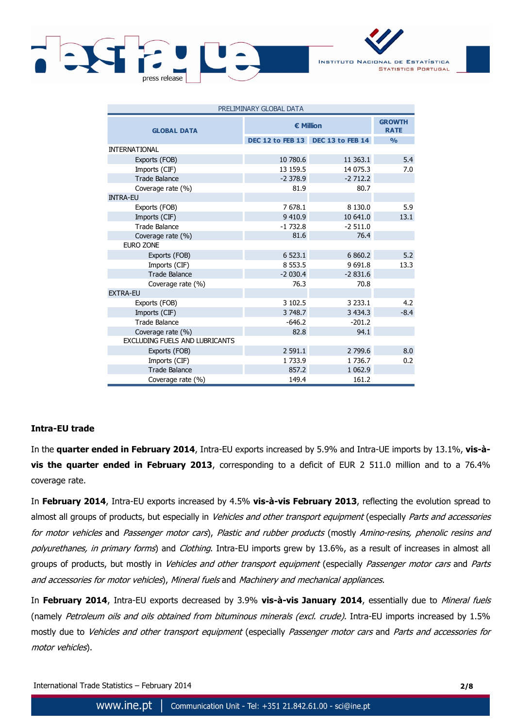



| PRELIMINARY GLOBAL DATA               |                  |                                   |               |  |  |  |  |
|---------------------------------------|------------------|-----------------------------------|---------------|--|--|--|--|
| <b>GLOBAL DATA</b>                    | <b>€ Million</b> | <b>GROWTH</b><br><b>RATE</b>      |               |  |  |  |  |
|                                       |                  | DEC 12 to FEB 13 DEC 13 to FEB 14 | $\frac{0}{0}$ |  |  |  |  |
| <b>INTERNATIONAL</b>                  |                  |                                   |               |  |  |  |  |
| Exports (FOB)                         | 10 780.6         | 11 363.1                          | 5.4           |  |  |  |  |
| Imports (CIF)                         | 13 159.5         | 14 075.3                          | 7.0           |  |  |  |  |
| <b>Trade Balance</b>                  | $-2378.9$        | $-2712.2$                         |               |  |  |  |  |
| Coverage rate (%)                     | 81.9             | 80.7                              |               |  |  |  |  |
| <b>INTRA-EU</b>                       |                  |                                   |               |  |  |  |  |
| Exports (FOB)                         | 7 678.1          | 8 1 3 0.0                         | 5.9           |  |  |  |  |
| Imports (CIF)                         | 9 4 1 0.9        | 10 641.0                          | 13.1          |  |  |  |  |
| <b>Trade Balance</b>                  | $-1732.8$        | $-2511.0$                         |               |  |  |  |  |
| Coverage rate (%)                     | 81.6             | 76.4                              |               |  |  |  |  |
| <b>EURO ZONE</b>                      |                  |                                   |               |  |  |  |  |
| Exports (FOB)                         | 6 523.1          | 6 860.2                           | 5.2           |  |  |  |  |
| Imports (CIF)                         | 8 5 5 3 . 5      | 9 6 9 1.8                         | 13.3          |  |  |  |  |
| <b>Trade Balance</b>                  | $-2030.4$        | $-2831.6$                         |               |  |  |  |  |
| Coverage rate (%)                     | 76.3             | 70.8                              |               |  |  |  |  |
| <b>EXTRA-EU</b>                       |                  |                                   |               |  |  |  |  |
| Exports (FOB)                         | 3 102.5          | 3 2 3 3 .1                        | 4.2           |  |  |  |  |
| Imports (CIF)                         | 3 748.7          | 3 4 3 4 . 3                       | $-8.4$        |  |  |  |  |
| <b>Trade Balance</b>                  | $-646.2$         | $-201.2$                          |               |  |  |  |  |
| Coverage rate (%)                     | 82.8             | 94.1                              |               |  |  |  |  |
| <b>EXCLUDING FUELS AND LUBRICANTS</b> |                  |                                   |               |  |  |  |  |
| Exports (FOB)                         | 2 591.1          | 2 799.6                           | 8.0           |  |  |  |  |
| Imports (CIF)                         | 1733.9           | 1736.7                            | 0.2           |  |  |  |  |
| <b>Trade Balance</b>                  | 857.2            | 1 0 6 2 . 9                       |               |  |  |  |  |
| Coverage rate (%)                     | 149.4            | 161.2                             |               |  |  |  |  |

### **Intra-EU trade**

In the **quarter ended in February 2014**, Intra-EU exports increased by 5.9% and Intra-UE imports by 13.1%, **vis-àvis the quarter ended in February 2013**, corresponding to a deficit of EUR 2 511.0 million and to a 76.4% coverage rate.

In **February 2014**, Intra-EU exports increased by 4.5% **vis-à-vis February 2013**, reflecting the evolution spread to almost all groups of products, but especially in Vehicles and other transport equipment (especially Parts and accessories for motor vehicles and Passenger motor cars), Plastic and rubber products (mostly Amino-resins, phenolic resins and polyurethanes, in primary forms) and Clothing. Intra-EU imports grew by 13.6%, as a result of increases in almost all groups of products, but mostly in Vehicles and other transport equipment (especially Passenger motor cars and Parts and accessories for motor vehicles), Mineral fuels and Machinery and mechanical appliances.

In **February 2014**, Intra-EU exports decreased by 3.9% **vis-à-vis January 2014**, essentially due to Mineral fuels (namely Petroleum oils and oils obtained from bituminous minerals (excl. crude). Intra-EU imports increased by 1.5% mostly due to Vehicles and other transport equipment (especially Passenger motor cars and Parts and accessories for motor vehicles).

International Trade Statistics – February 2014 **2/8**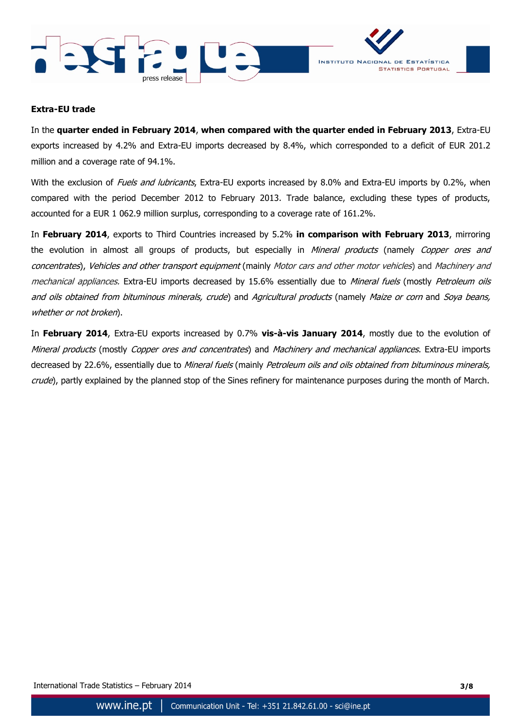



#### **Extra-EU trade**

In the **quarter ended in February 2014**, **when compared with the quarter ended in February 2013**, Extra-EU exports increased by 4.2% and Extra-EU imports decreased by 8.4%, which corresponded to a deficit of EUR 201.2 million and a coverage rate of 94.1%.

With the exclusion of *Fuels and lubricants*, Extra-EU exports increased by 8.0% and Extra-EU imports by 0.2%, when compared with the period December 2012 to February 2013. Trade balance, excluding these types of products, accounted for a EUR 1 062.9 million surplus, corresponding to a coverage rate of 161.2%.

In **February 2014**, exports to Third Countries increased by 5.2% **in comparison with February 2013**, mirroring the evolution in almost all groups of products, but especially in Mineral products (namely Copper ores and concentrates), Vehicles and other transport equipment (mainly Motor cars and other motor vehicles) and Machinery and mechanical appliances. Extra-EU imports decreased by 15.6% essentially due to Mineral fuels (mostly Petroleum oils and oils obtained from bituminous minerals, crude) and Agricultural products (namely Maize or corn and Soya beans, whether or not broken).

In **February 2014**, Extra-EU exports increased by 0.7% **vis-à-vis January 2014**, mostly due to the evolution of Mineral products (mostly Copper ores and concentrates) and Machinery and mechanical appliances. Extra-EU imports decreased by 22.6%, essentially due to Mineral fuels (mainly Petroleum oils and oils obtained from bituminous minerals, crude), partly explained by the planned stop of the Sines refinery for maintenance purposes during the month of March.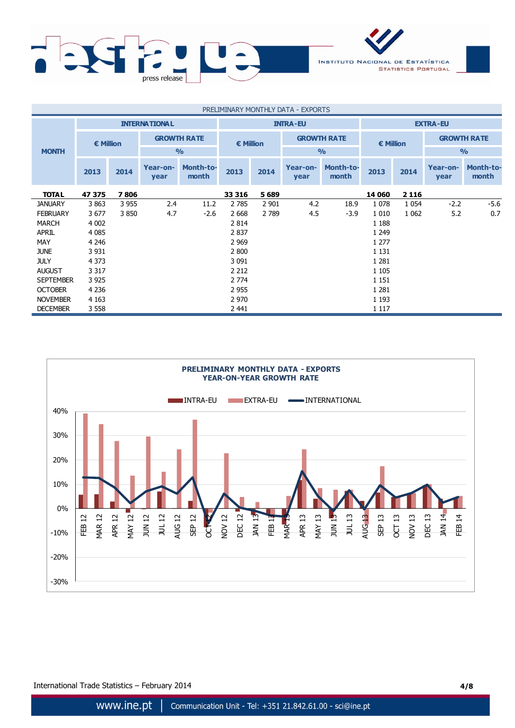

| PRELIMINARY MONTHLY DATA - EXPORTS |                      |         |                    |                           |                    |         |                  |                    |         |         |                    |                           |                    |  |  |                    |
|------------------------------------|----------------------|---------|--------------------|---------------------------|--------------------|---------|------------------|--------------------|---------|---------|--------------------|---------------------------|--------------------|--|--|--------------------|
|                                    | <b>INTERNATIONAL</b> |         |                    |                           | <b>INTRA-EU</b>    |         |                  | <b>EXTRA-EU</b>    |         |         |                    |                           |                    |  |  |                    |
|                                    | $\epsilon$ Million   |         | <b>GROWTH RATE</b> |                           | $\epsilon$ Million |         |                  |                    |         |         | <b>GROWTH RATE</b> |                           | $\epsilon$ Million |  |  | <b>GROWTH RATE</b> |
| <b>MONTH</b>                       |                      |         |                    | $\frac{9}{0}$             |                    |         |                  | $\frac{0}{0}$      |         |         | $\frac{0}{0}$      |                           |                    |  |  |                    |
|                                    | 2013                 | 2014    | Year-on-<br>year   | <b>Month-to-</b><br>month | 2013               | 2014    | Year-on-<br>year | Month-to-<br>month | 2013    | 2014    | Year-on-<br>year   | <b>Month-to-</b><br>month |                    |  |  |                    |
| <b>TOTAL</b>                       | 47 375               | 7806    |                    |                           | 33 316             | 5689    |                  |                    | 14 060  | 2 1 1 6 |                    |                           |                    |  |  |                    |
| <b>JANUARY</b>                     | 3863                 | 3 9 5 5 | 2.4                | 11.2                      | 2 7 8 5            | 2 9 0 1 | 4.2              | 18.9               | 1078    | 1 0 5 4 | $-2.2$             | $-5.6$                    |                    |  |  |                    |
| <b>FEBRUARY</b>                    | 3677                 | 3850    | 4.7                | $-2.6$                    | 2 6 6 8            | 2 7 8 9 | 4.5              | $-3.9$             | 1 0 1 0 | 1 0 6 2 | 5.2                | 0.7                       |                    |  |  |                    |
| <b>MARCH</b>                       | 4 0 0 2              |         |                    |                           | 2 8 1 4            |         |                  |                    | 1 1 8 8 |         |                    |                           |                    |  |  |                    |
| <b>APRIL</b>                       | 4 0 8 5              |         |                    |                           | 2 8 3 7            |         |                  |                    | 1 2 4 9 |         |                    |                           |                    |  |  |                    |
| <b>MAY</b>                         | 4 2 4 6              |         |                    |                           | 2 9 6 9            |         |                  |                    | 1 2 7 7 |         |                    |                           |                    |  |  |                    |
| <b>JUNE</b>                        | 3 9 3 1              |         |                    |                           | 2 800              |         |                  |                    | 1 1 3 1 |         |                    |                           |                    |  |  |                    |
| <b>JULY</b>                        | 4 3 7 3              |         |                    |                           | 3 0 9 1            |         |                  |                    | 1 2 8 1 |         |                    |                           |                    |  |  |                    |
| <b>AUGUST</b>                      | 3 3 1 7              |         |                    |                           | 2 2 1 2            |         |                  |                    | 1 1 0 5 |         |                    |                           |                    |  |  |                    |
| <b>SEPTEMBER</b>                   | 3 9 2 5              |         |                    |                           | 2 7 7 4            |         |                  |                    | 1 1 5 1 |         |                    |                           |                    |  |  |                    |
| <b>OCTOBER</b>                     | 4 2 3 6              |         |                    |                           | 2 9 5 5            |         |                  |                    | 1 2 8 1 |         |                    |                           |                    |  |  |                    |
| <b>NOVEMBER</b>                    | 4 1 6 3              |         |                    |                           | 2 9 7 0            |         |                  |                    | 1 1 9 3 |         |                    |                           |                    |  |  |                    |
| <b>DECEMBER</b>                    | 3 5 5 8              |         |                    |                           | 2 4 4 1            |         |                  |                    | 1 1 1 7 |         |                    |                           |                    |  |  |                    |



International Trade Statistics – February 2014 **4/8**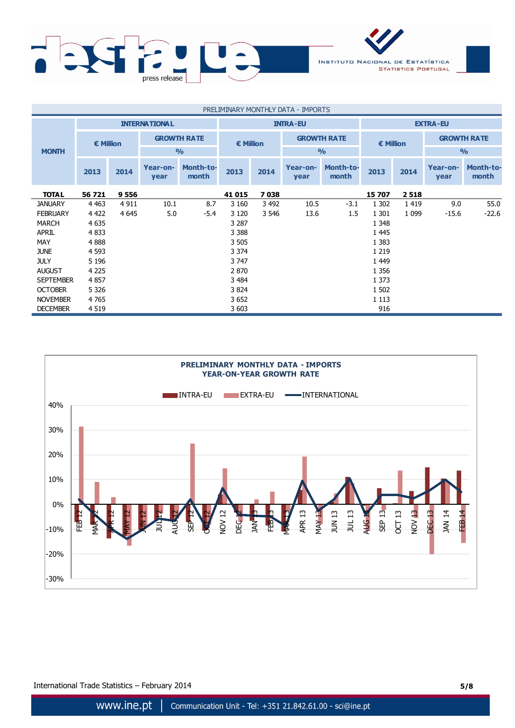

| PRELIMINARY MONTHLY DATA - IMPORTS |           |                      |                    |                           |                  |         |                  |                           |                 |         |                    |                           |           |  |  |                    |
|------------------------------------|-----------|----------------------|--------------------|---------------------------|------------------|---------|------------------|---------------------------|-----------------|---------|--------------------|---------------------------|-----------|--|--|--------------------|
|                                    |           | <b>INTERNATIONAL</b> |                    |                           | <b>INTRA-EU</b>  |         |                  |                           | <b>EXTRA-EU</b> |         |                    |                           |           |  |  |                    |
|                                    | € Million |                      | <b>GROWTH RATE</b> |                           | <b>€ Million</b> |         |                  |                           |                 |         | <b>GROWTH RATE</b> |                           | € Million |  |  | <b>GROWTH RATE</b> |
| <b>MONTH</b>                       |           |                      |                    | $\frac{0}{0}$             |                  |         |                  | $\frac{0}{0}$             |                 |         | $\frac{9}{6}$      |                           |           |  |  |                    |
|                                    | 2013      | 2014                 | Year-on-<br>year   | <b>Month-to-</b><br>month | 2013             | 2014    | Year-on-<br>year | <b>Month-to-</b><br>month | 2013            | 2014    | Year-on-<br>year   | <b>Month-to-</b><br>month |           |  |  |                    |
| <b>TOTAL</b>                       | 56 721    | 9 5 5 6              |                    |                           | 41 015           | 7038    |                  |                           | 15 707          | 2518    |                    |                           |           |  |  |                    |
| <b>JANUARY</b>                     | 4 4 6 3   | 4 9 1 1              | 10.1               | 8.7                       | 3 1 6 0          | 3 4 9 2 | 10.5             | $-3.1$                    | 1 3 0 2         | 1419    | 9.0                | 55.0                      |           |  |  |                    |
| <b>FEBRUARY</b>                    | 4 4 2 2   | 4 6 4 5              | 5.0                | -5.4                      | 3 1 2 0          | 3 5 4 6 | 13.6             | $1.5^{\circ}$             | 1 3 0 1         | 1 0 9 9 | $-15.6$            | $-22.6$                   |           |  |  |                    |
| <b>MARCH</b>                       | 4 6 3 5   |                      |                    |                           | 3 2 8 7          |         |                  |                           | 1 3 4 8         |         |                    |                           |           |  |  |                    |
| <b>APRIL</b>                       | 4 8 3 3   |                      |                    |                           | 3 3 8 8          |         |                  |                           | 1 4 4 5         |         |                    |                           |           |  |  |                    |
| <b>MAY</b>                         | 4888      |                      |                    |                           | 3 5 0 5          |         |                  |                           | 1 3 8 3         |         |                    |                           |           |  |  |                    |
| <b>JUNE</b>                        | 4 5 9 3   |                      |                    |                           | 3 3 7 4          |         |                  |                           | 1 2 1 9         |         |                    |                           |           |  |  |                    |
| <b>JULY</b>                        | 5 1 9 6   |                      |                    |                           | 3 747            |         |                  |                           | 1 4 4 9         |         |                    |                           |           |  |  |                    |
| <b>AUGUST</b>                      | 4 2 2 5   |                      |                    |                           | 2 8 7 0          |         |                  |                           | 1 3 5 6         |         |                    |                           |           |  |  |                    |
| <b>SEPTEMBER</b>                   | 4857      |                      |                    |                           | 3 4 8 4          |         |                  |                           | 1 3 7 3         |         |                    |                           |           |  |  |                    |
| <b>OCTOBER</b>                     | 5 3 2 6   |                      |                    |                           | 3 8 24           |         |                  |                           | 1 502           |         |                    |                           |           |  |  |                    |
| <b>NOVEMBER</b>                    | 4765      |                      |                    |                           | 3 6 5 2          |         |                  |                           | 1 1 1 3         |         |                    |                           |           |  |  |                    |
| <b>DECEMBER</b>                    | 4 5 1 9   |                      |                    |                           | 3 603            |         |                  |                           | 916             |         |                    |                           |           |  |  |                    |

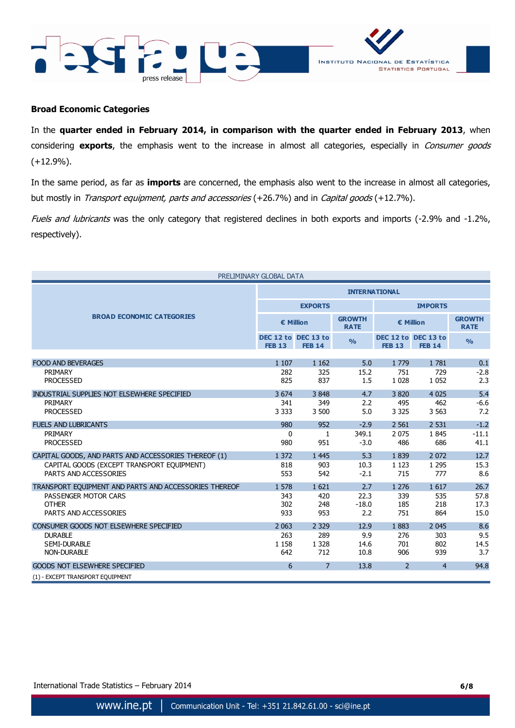



#### **Broad Economic Categories**

In the **quarter ended in February 2014, in comparison with the quarter ended in February 2013**, when considering **exports**, the emphasis went to the increase in almost all categories, especially in Consumer goods (+12.9%).

In the same period, as far as **imports** are concerned, the emphasis also went to the increase in almost all categories, but mostly in Transport equipment, parts and accessories (+26.7%) and in Capital goods (+12.7%).

Fuels and lubricants was the only category that registered declines in both exports and imports (-2.9% and -1.2%, respectively).

|                                                       | PRELIMINARY GLOBAL DATA |                                      |                              |                |                                      |                              |  |
|-------------------------------------------------------|-------------------------|--------------------------------------|------------------------------|----------------|--------------------------------------|------------------------------|--|
|                                                       | <b>INTERNATIONAL</b>    |                                      |                              |                |                                      |                              |  |
|                                                       |                         | <b>EXPORTS</b>                       |                              | <b>IMPORTS</b> |                                      |                              |  |
| <b>BROAD ECONOMIC CATEGORIES</b>                      | € Million               |                                      | <b>GROWTH</b><br><b>RATE</b> | € Million      |                                      | <b>GROWTH</b><br><b>RATE</b> |  |
|                                                       | <b>FEB 13</b>           | DEC 12 to DEC 13 to<br><b>FEB 14</b> | $\frac{9}{6}$                | <b>FEB 13</b>  | DEC 12 to DEC 13 to<br><b>FEB 14</b> | $\frac{9}{6}$                |  |
|                                                       |                         |                                      |                              |                |                                      |                              |  |
| <b>FOOD AND BEVERAGES</b>                             | 1 1 0 7                 | 1 1 6 2                              | 5.0                          | 1779           | 1781                                 | 0.1                          |  |
| PRIMARY<br><b>PROCESSED</b>                           | 282<br>825              | 325<br>837                           | 15.2<br>1.5                  | 751<br>1 0 2 8 | 729<br>1 0 5 2                       | $-2.8$<br>2.3                |  |
|                                                       |                         |                                      |                              |                |                                      |                              |  |
| INDUSTRIAL SUPPLIES NOT ELSEWHERE SPECIFIED           | 3 6 7 4                 | 3848                                 | 4.7                          | 3820           | 4 0 2 5                              | 5.4                          |  |
| PRIMARY                                               | 341                     | 349                                  | 2.2                          | 495            | 462                                  | $-6.6$                       |  |
| <b>PROCESSED</b>                                      | 3 3 3 3                 | 3 500                                | 5.0                          | 3 3 2 5        | 3 5 6 3                              | 7.2                          |  |
| <b>FUELS AND LUBRICANTS</b>                           | 980                     | 952                                  | $-2.9$                       | 2 5 6 1        | 2 5 3 1                              | $-1.2$                       |  |
| PRIMARY                                               | $\Omega$                | 1                                    | 349.1                        | 2 0 7 5        | 1845                                 | $-11.1$                      |  |
| <b>PROCESSED</b>                                      | 980                     | 951                                  | $-3.0$                       | 486            | 686                                  | 41.1                         |  |
| CAPITAL GOODS, AND PARTS AND ACCESSORIES THEREOF (1)  | 1 3 7 2                 | 1 4 4 5                              | 5.3                          | 1839           | 2 0 7 2                              | 12.7                         |  |
| CAPITAL GOODS (EXCEPT TRANSPORT EQUIPMENT)            | 818                     | 903                                  | 10.3                         | 1 1 2 3        | 1 2 9 5                              | 15.3                         |  |
| PARTS AND ACCESSORIES                                 | 553                     | 542                                  | $-2.1$                       | 715            | 777                                  | 8.6                          |  |
| TRANSPORT EQUIPMENT AND PARTS AND ACCESSORIES THEREOF | 1 578                   | 1 6 2 1                              | 2.7                          | 1 2 7 6        | 1617                                 | 26.7                         |  |
| PASSENGER MOTOR CARS                                  | 343                     | 420                                  | 22.3                         | 339            | 535                                  | 57.8                         |  |
| <b>OTHER</b>                                          | 302                     | 248                                  | $-18.0$                      | 185            | 218                                  | 17.3                         |  |
| PARTS AND ACCESSORIES                                 | 933                     | 953                                  | 2.2                          | 751            | 864                                  | 15.0                         |  |
| CONSUMER GOODS NOT ELSEWHERE SPECIFIED                | 2 0 6 3                 | 2 3 2 9                              | 12.9                         | 1883           | 2 0 4 5                              | 8.6                          |  |
| <b>DURABLE</b>                                        | 263                     | 289                                  | 9.9                          | 276            | 303                                  | 9.5                          |  |
| <b>SEMI-DURABLE</b>                                   | 1 1 5 8                 | 1 3 2 8                              | 14.6                         | 701            | 802                                  | 14.5                         |  |
| <b>NON-DURABLE</b>                                    | 642                     | 712                                  | 10.8                         | 906            | 939                                  | 3.7                          |  |
| <b>GOODS NOT ELSEWHERE SPECIFIED</b>                  | 6                       | $\overline{7}$                       | 13.8                         | $\overline{2}$ | $\overline{4}$                       | 94.8                         |  |
| (1) - EXCEPT TRANSPORT EOUIPMENT                      |                         |                                      |                              |                |                                      |                              |  |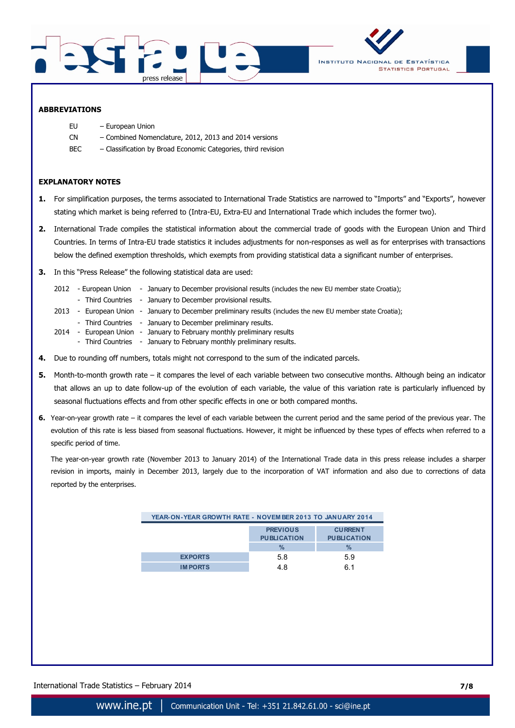



#### **ABBREVIATIONS**

- EU European Union
- CN Combined Nomenclature, 2012, 2013 and 2014 versions
- BEC Classification by Broad Economic Categories, third revision

#### **EXPLANATORY NOTES**

- **1.** For simplification purposes, the terms associated to International Trade Statistics are narrowed to "Imports" and "Exports", however stating which market is being referred to (Intra-EU, Extra-EU and International Trade which includes the former two).
- **2.** International Trade compiles the statistical information about the commercial trade of goods with the European Union and Third Countries. In terms of Intra-EU trade statistics it includes adjustments for non-responses as well as for enterprises with transactions below the defined exemption thresholds, which exempts from providing statistical data a significant number of enterprises.
- **3.** In this "Press Release" the following statistical data are used:
	- 2012 European Union January to December provisional results (includes the new EU member state Croatia);
	- Third Countries January to December provisional results.
	- 2013 European Union January to December preliminary results (includes the new EU member state Croatia);
	- Third Countries January to December preliminary results.
	- 2014 European Union January to February monthly preliminary results
		- Third Countries January to February monthly preliminary results.
- **4.** Due to rounding off numbers, totals might not correspond to the sum of the indicated parcels.
- **5.** Month-to-month growth rate it compares the level of each variable between two consecutive months. Although being an indicator that allows an up to date follow-up of the evolution of each variable, the value of this variation rate is particularly influenced by seasonal fluctuations effects and from other specific effects in one or both compared months.
- **6.** Year-on-year growth rate it compares the level of each variable between the current period and the same period of the previous year. The evolution of this rate is less biased from seasonal fluctuations. However, it might be influenced by these types of effects when referred to a specific period of time.

The year-on-year growth rate (November 2013 to January 2014) of the International Trade data in this press release includes a sharper revision in imports, mainly in December 2013, largely due to the incorporation of VAT information and also due to corrections of data reported by the enterprises.

| YEAR-ON-YEAR GROWTH RATE - NOVEM BER 2013 TO JANUARY 2014 |                                               |                                              |  |  |  |  |  |
|-----------------------------------------------------------|-----------------------------------------------|----------------------------------------------|--|--|--|--|--|
|                                                           | <b>PREVIOUS</b><br><b>PUBLICATION</b><br>$\%$ | <b>CURRENT</b><br><b>PUBLICATION</b><br>$\%$ |  |  |  |  |  |
| <b>EXPORTS</b>                                            | 5.8                                           | 5.9                                          |  |  |  |  |  |
| <b>IMPORTS</b>                                            | 4.8                                           | 61                                           |  |  |  |  |  |

International Trade Statistics – February 2014 **7/8**